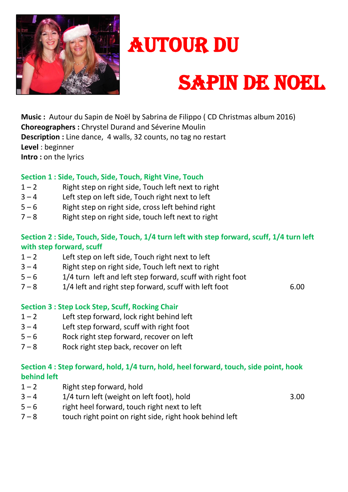

# AUTOUR DU

## SAPIN DE NOEL

**Music :** Autour du Sapin de Noël by Sabrina de Filippo ( CD Christmas album 2016) **Choreographers :** Chrystel Durand and Séverine Moulin **Description :** Line dance, 4 walls, 32 counts, no tag no restart **Level** : beginner **Intro :** on the lyrics

### **Section 1 : Side, Touch, Side, Touch, Right Vine, Touch**

- $1 2$  Right step on right side, Touch left next to right
- $3 4$  Left step on left side, Touch right next to left
- $5 6$  Right step on right side, cross left behind right
- $7 8$  Right step on right side, touch left next to right

#### **Section 2 : Side, Touch, Side, Touch, 1/4 turn left with step forward, scuff, 1/4 turn left with step forward, scuff**

- $1 2$  Left step on left side, Touch right next to left
- $3 4$  Right step on right side, Touch left next to right
- $5 6$  1/4 turn left and left step forward, scuff with right foot
- $7 8$  1/4 left and right step forward, scuff with left foot 6.00

#### **Section 3 : Step Lock Step, Scuff, Rocking Chair**

- $1 2$  Left step forward, lock right behind left
- $3 4$  Left step forward, scuff with right foot
- 5 6 Rock right step forward, recover on left
- $7 8$  Rock right step back, recover on left

#### **Section 4 : Step forward, hold, 1/4 turn, hold, heel forward, touch, side point, hook behind left**

- $1 2$  Right step forward, hold
- $3 4$  1/4 turn left (weight on left foot), hold  $3.00$ 
	-
- $5 6$  right heel forward, touch right next to left
- $7 8$  touch right point on right side, right hook behind left